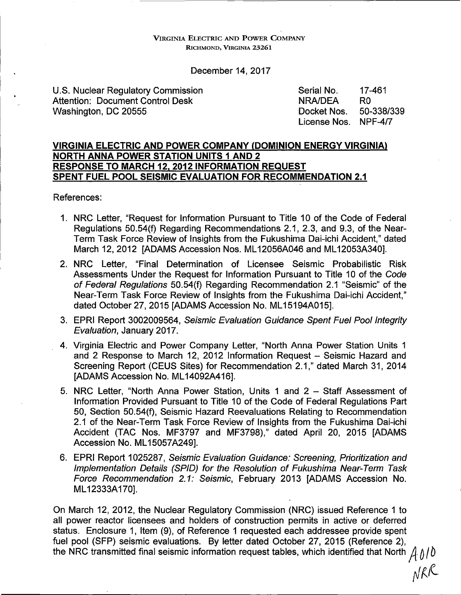VIRGINIA ELECTRIC AND POWER COMPANY RICHMOND, VIRGINIA 23261

December 14, 2017

U.S. Nuclear Regulatory Commission Attention: Document Control Desk Washington, DC 20555 Serial No. 17-461 NRA/DEA RO Docket Nos. 50-338/339 License Nos. NPF-4/7

### **VIRGINIA ELECTRIC AND POWER COMPANY (DOMINION ENERGY VIRGINIA) NORTH ANNA POWER STATION UNITS 1 AND 2 RESPONSE TO MARCH 12, 2012 INFORMATION REQUEST SPENT FUEL POOL SEISMIC EVALUATION FOR RECOMMENDATION 2.1**

References:

- 1. NRG Letter, "Request for Information Pursuant to Title 10 of the Code of Federal Regulations 50.54(f) Regarding Recommendations 2.1, 2.3, and 9.3, of the Near-Term Task Force Review of Insights from the Fukushima Dai-ichi Accident," dated March 12, 2012 [ADAMS Accession Nos. ML 12056A046 and ML 12053A340].
- 2. NRG Letter, "Final Determination of Licensee Seismic Probabilistic Risk Assessments Under the Request for Information Pursuant to Title 10 of the Code of Federal Regulations 50.54(f) Regarding Recommendation 2.1 "Seismic" of the Near-Term Task Force Review of Insights from the Fukushima Dai-ichi Accident," dated October 27, 2015 [ADAMS Accession No. ML15194A015].
- 3. EPRI Report 3002009564, Seismic Evaluation Guidance Spent Fuel Pool Integrity Evaluation, January 2017.
- 4. Virginia Electric and Power Company Letter, "North Anna Power Station Units 1 and 2 Response to March 12, 2012 Information Request - Seismic Hazard and Screening Report (CEUS Sites) for Recommendation 2.1," dated March 31, 2014 [ADAMS Accession No. ML 14092A416].
- 5. NRG Letter, "North Anna Power Station, Units 1 and 2 Staff Assessment of Information Provided Pursuant to Title 10 of the Code of Federal Regulations Part 50, Section 50.54(f), Seismic Hazard Reevaluations Relating to Recommendation 2.1 of the Near-Term Task Force Review of Insights from the Fukushima Dai-ichi Accident (TAC Nos. MF3797 and MF3798)," dated April 20, 2015 [ADAMS Accession No. ML15057A249].
- 6. EPRI Report 1025287, Seismic Evaluation Guidance: Screening, Prioritization and Implementation Details (SPID) for the Resolution of Fukushima Near-Term Task Force Recommendation 2.1: Seismic, February 2013 [ADAMS Accession No. ML 12333A170].

On March 12, 2012, the Nuclear Regulatory Commission (NRG) issued Reference 1 to all power reactor licensees and holders of construction permits in active or deferred status. Enclosure 1, Item (9), of Reference 1 requested each addressee provide spent fuel pool (SFP) seismic evaluations. By letter dated October 27, 2015 (Reference 2), the NRC transmitted final seismic information request tables, which identified that North  $A \hat{ } / \hat{ }$ 

 $\ell_{\parallel}$ NRK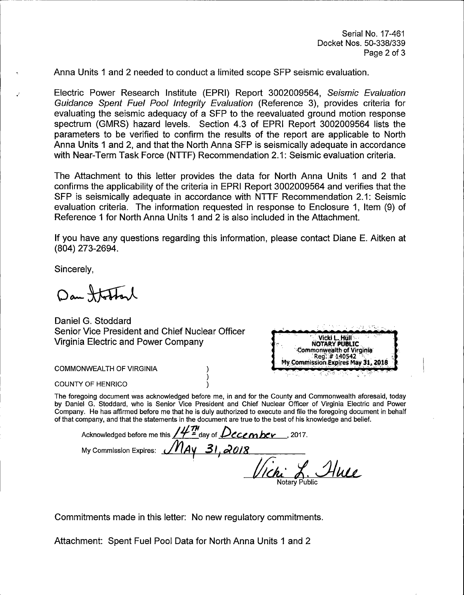Anna Units 1 and 2 needed to conduct a limited scope SFP seismic evaluation.

Electric Power Research Institute (EPRI) Report 3002009564, Seismic Evaluation Guidance Spent Fuel Pool Integrity Evaluation (Reference 3), provides criteria for evaluating the seismic adequacy of a SFP to the reevaluated ground motion response spectrum (GMRS) hazard levels. Section 4.3 of EPRI Report 3002009564 lists the parameters to be verified to confirm the results of the report are applicable to North Anna Units 1 and 2, and that the North Anna SFP is seismically adequate in accordance with Near-Term Task Force (NTTF) Recommendation 2.1: Seismic evaluation criteria.

The Attachment to this letter provides the data for North Anna Units 1 and 2 that confirms the applicability of the criteria in EPRI Report 3002009564 and verifies that the SFP is seismically adequate in accordance with NTTF Recommendation 2.1: Seismic evaluation criteria. The information requested in response to Enclosure 1, Item (9) of Reference 1 for North Anna Units 1 and 2 is also included in the Attachment.

If you have any questions regarding this information, please contact Diane E. Aitken at (804) 273-2694.

Sincerely,

Dan Statterl

Daniel G. Stoddard Senior Vice President and Chief Nuclear Officer Virginia Electric and Power Company

Vicki L. Hull<br>NOTARY PUBLIC Commonwealth of Virginia Reg. #140542 My Commission Expires May 31, 2018

**COMMONWEALTH OF VIRGINIA** 

COUNTY OF HENRICO

The foregoing document was acknowledged before me, in and for the County and Commonwealth aforesaid, today by Daniel G. Stoddard, who is Senior Vice President and Chief Nuclear Officer of Virginia Electric and Power Company. He has affirmed before me that he is duly authorized to execute and file the foregoing document in behalf of that company, and that the statements in the document are true to the best of his knowledge and belief.

Acknowledged before me this  $/4^m$  <sup>a</sup>day of **December** . 2017. My Commission Expires: <u>MAY 31, 2018</u><br>Vichi L. Alue Notary Public

Commitments made in this letter: No new regulatory commitments.

Attachment: Spent Fuel Pool Data for North Anna Units 1 and 2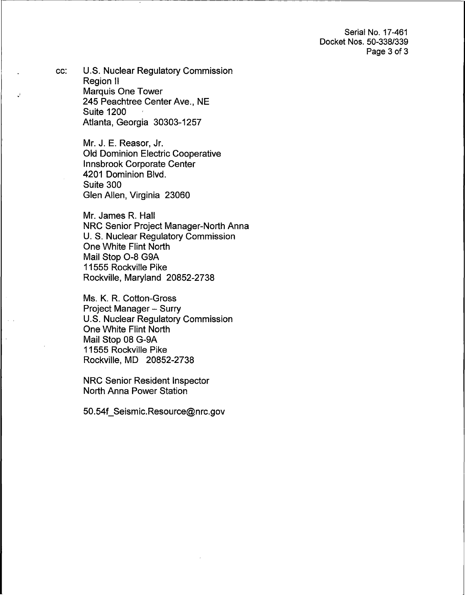Serial No. 17-461 Docket Nos. 50-338/339 Page 3 of 3

cc: U.S. Nuclear Regulatory Commission Region II Marquis One Tower 245 Peachtree Center Ave., NE Suite 1200 Atlanta, Georgia 30303-1257

> Mr. J. E. Reasor, Jr. Old Dominion Electric Cooperative Innsbrook Corporate Center 4201 Dominion Blvd. Suite 300 Glen Allen, Virginia 23060

Mr. James R. Hall NRC Senior Project Manager-North Anna U. S. Nuclear Regulatory Commission One White Flint North Mail Stop 0-8 G9A 11555 Rockville Pike Rockville, Maryland 20852-2738

Ms. K. R. Cotton-Gross Project Manager - Surry U.S. Nuclear Regulatory Commission One White Flint North Mail Stop 08 G-9A 11555 Rockville Pike Rockville, MD 20852-2738

NRC Senior Resident Inspector North Anna Power Station

50.54f\_Seismic.Resource@nrc.gov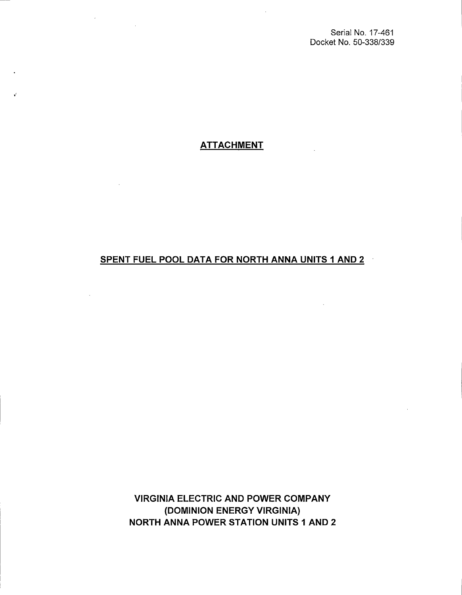Serial No. 17-461 Docket No. 50-338/339

# **ATTACHMENT**

## SPENT FUEL POOL DATA FOR NORTH **ANNA** UNITS 1 AND 2

VIRGINIA ELECTRIC AND POWER COMPANY (DOMINION ENERGY VIRGINIA) NORTH **ANNA** POWER STATION UNITS 1 AND 2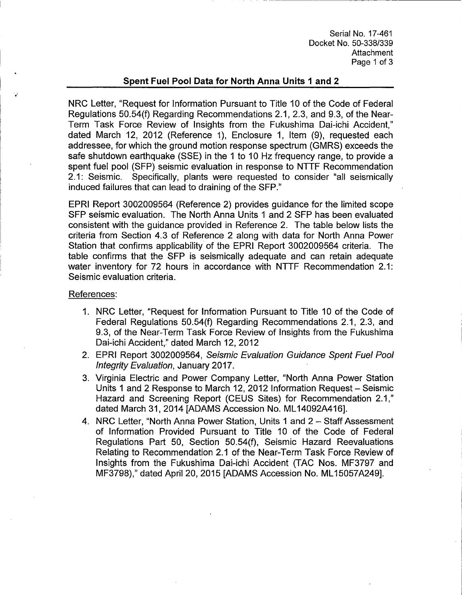Serial No. 17-461 Docket No. 50-338/339 Attachment Page 1 of 3

### **Spent Fuel Pool Data for North Anna Units 1 and 2**

NRC Letter, "Request for Information Pursuant to Title 10 of the Code of Federal Regulations 50.54(f) Regarding Recommendations 2.1, 2.3, and 9.3, of the Near-Term Task Force Review of Insights from the Fukushima Dai-ichi Accident," dated March 12, 2012 (Reference 1), Enclosure 1, Item (9), requested each addressee, for which the ground motion response spectrum (GMRS) exceeds the safe shutdown earthquake (SSE) in the 1 to 10 Hz frequency range, to provide a spent fuel pool (SFP) seismic evaluation in response to NTTF Recommendation 2.1: Seismic. Specifically, plants were requested to consider "all seismically induced failures that can lead to draining of the SFP."

EPRI Report 3002009564 (Reference 2) provides guidance for the limited scope SFP seismic evaluation. The North Anna Units 1 and 2 SFP has been evaluated consistent with the guidance provided in Reference 2. The table below lists the criteria from Section 4.3 of Reference 2 along with data for North Anna Power Station that confirms applicability of the EPRI Report 3002009564 criteria. The table confirms that the SFP is seismically adequate and can retain adequate water inventory for 72 hours in accordance with NTTF Recommendation 2.1: Seismic evaluation criteria.

#### References:

·.,

- 1. NRC Letter, "Request for Information Pursuant to Title 10 of the Code of Federal Regulations 50.54(f) Regarding Recommendations 2.1, 2.3, and 9.3, of the Near-Term Task Force Review of Insights from the Fukushima Dai-ichi Accident," dated March 12, 2012
- 2. EPRI Report 3002009564, Seismic Evaluation Guidance Spent Fuel Pool Integrity Evaluation, January 2017.
- 3. Virginia Electric and Power Company Letter, "North Anna Power Station Units 1 and 2 Response to March 12, 2012 Information Request- Seismic Hazard and Screening Report (CEUS Sites) for Recommendation 2.1," dated March 31, 2014 [ADAMS Accession No. ML 14092A416].
- 4. NRC Letter, "North Anna Power Station, Units 1 and 2 Staff Assessment of Information Provided Pursuant to Title 10 of the Code of Federal Regulations Part 50, Section 50.54(f), Seismic Hazard Reevaluations Relating to Recommendation 2.1 of the Near-Term Task Force Review of Insights from the Fukushima Dai-ichi Accident (TAC Nos. MF3797 and MF3798)," dated April 20, 2015 [ADAMS Accession No. ML 15057A249].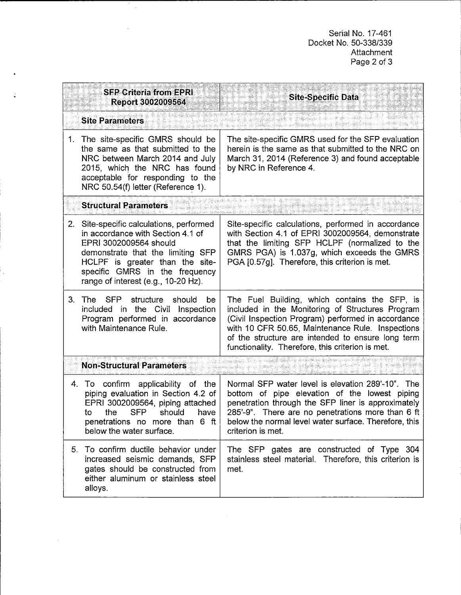Serial No. 17-461 Docket No. 50-338/339 Attachment Page 2 of 3

|                                               | <b>SFP Criteria from EPRI.</b><br>Report 3002009564                                                                                                                                                                                                   | <b>Site-Specific Data</b>                                                                                                                                                                                                                                                                                            |
|-----------------------------------------------|-------------------------------------------------------------------------------------------------------------------------------------------------------------------------------------------------------------------------------------------------------|----------------------------------------------------------------------------------------------------------------------------------------------------------------------------------------------------------------------------------------------------------------------------------------------------------------------|
| <b>Site Parameters</b>                        |                                                                                                                                                                                                                                                       |                                                                                                                                                                                                                                                                                                                      |
| 1.                                            | The site-specific GMRS should be<br>the same as that submitted to the<br>NRC between March 2014 and July<br>2015, which the NRC has found<br>acceptable for responding to the<br>NRC 50.54(f) letter (Reference 1).                                   | The site-specific GMRS used for the SFP evaluation<br>herein is the same as that submitted to the NRC on<br>March 31, 2014 (Reference 3) and found acceptable<br>by NRC in Reference 4.                                                                                                                              |
| <b>Structural Parameters</b>                  |                                                                                                                                                                                                                                                       |                                                                                                                                                                                                                                                                                                                      |
| 2.                                            | Site-specific calculations, performed<br>in accordance with Section 4.1 of<br>EPRI 3002009564 should<br>demonstrate that the limiting SFP<br>HCLPF is greater than the site-<br>specific GMRS in the frequency<br>range of interest (e.g., 10-20 Hz). | Site-specific calculations, performed in accordance<br>with Section 4.1 of EPRI 3002009564, demonstrate<br>that the limiting SFP HCLPF (normalized to the<br>GMRS PGA) is 1.037g, which exceeds the GMRS<br>PGA [0.57g]. Therefore, this criterion is met.                                                           |
| 3.                                            | The SFP structure<br>should<br>be<br>included in the Civil Inspection<br>Program performed in accordance<br>with Maintenance Rule.                                                                                                                    | The Fuel Building, which contains the SFP, is<br>included in the Monitoring of Structures Program<br>(Civil Inspection Program) performed in accordance<br>with 10 CFR 50.65, Maintenance Rule. Inspections<br>of the structure are intended to ensure long term<br>functionality. Therefore, this criterion is met. |
| 常气 催怒 眼喉炎<br><b>Non-Structural Parameters</b> |                                                                                                                                                                                                                                                       |                                                                                                                                                                                                                                                                                                                      |
|                                               | 4. To confirm applicability of the<br>piping evaluation in Section 4.2 of<br>EPRI 3002009564, piping attached<br>the SFP<br>should<br>have<br>to<br>penetrations no more than 6 ft<br>below the water surface.                                        | Normal SFP water level is elevation 289'-10". The<br>bottom of pipe elevation of the lowest piping<br>penetration through the SFP liner is approximately<br>285'-9". There are no penetrations more than 6 ft<br>below the normal level water surface. Therefore, this<br>criterion is met.                          |
|                                               | 5. To confirm ductile behavior under<br>increased seismic demands, SFP<br>gates should be constructed from<br>either aluminum or stainless steel<br>alloys.                                                                                           | The SFP gates are constructed of Type 304<br>stainless steel material. Therefore, this criterion is<br>met.                                                                                                                                                                                                          |

 $\hat{\boldsymbol{\beta}}$ 

 $\ddot{\phantom{a}}$ 

 $\overline{\phantom{a}}$ 

 $\bar{z}$